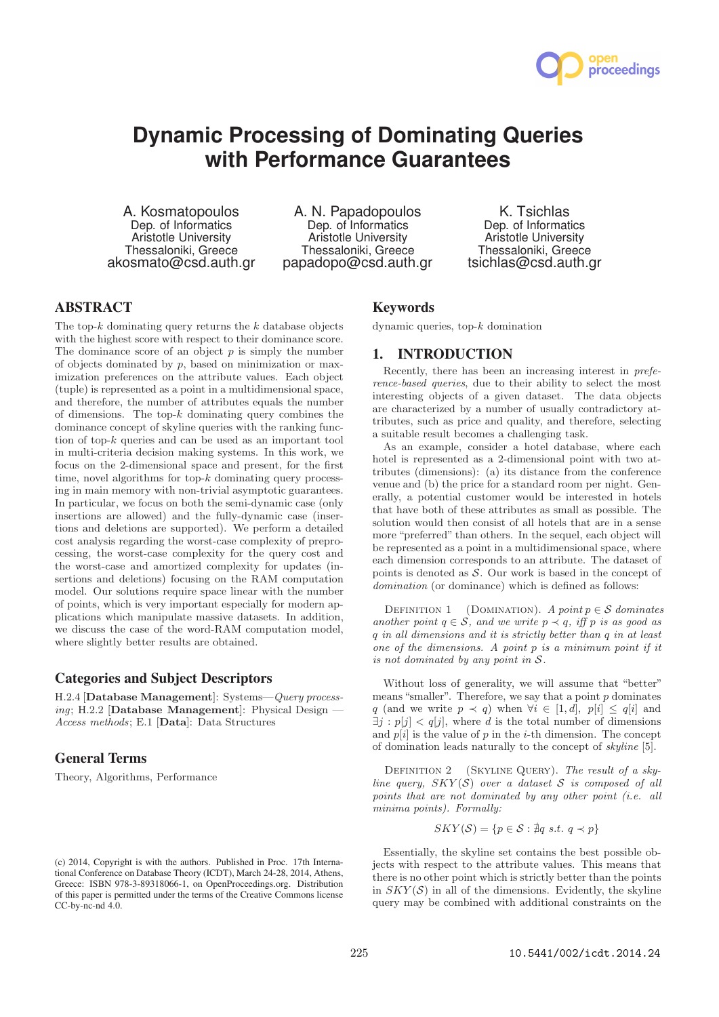

# **Dynamic Processing of Dominating Queries with Performance Guarantees**

A. Kosmatopoulos Dep. of Informatics Aristotle University Thessaloniki, Greece akosmato@csd.auth.gr

A. N. Papadopoulos Dep. of Informatics Aristotle University Thessaloniki, Greece papadopo@csd.auth.gr

K. Tsichlas Dep. of Informatics Aristotle University Thessaloniki, Greece tsichlas@csd.auth.gr

# **ABSTRACT**

The top- $k$  dominating query returns the  $k$  database objects with the highest score with respect to their dominance score. The dominance score of an object  $p$  is simply the number of objects dominated by  $p$ , based on minimization or maximization preferences on the attribute values. Each object (tuple) is represented as a point in a multidimensional space, and therefore, the number of attributes equals the number of dimensions. The top- $k$  dominating query combines the dominance concept of skyline queries with the ranking function of top-k queries and can be used as an important tool in multi-criteria decision making systems. In this work, we focus on the 2-dimensional space and present, for the first time, novel algorithms for top-k dominating query processing in main memory with non-trivial asymptotic guarantees. In particular, we focus on both the semi-dynamic case (only insertions are allowed) and the fully-dynamic case (insertions and deletions are supported). We perform a detailed cost analysis regarding the worst-case complexity of preprocessing, the worst-case complexity for the query cost and the worst-case and amortized complexity for updates (insertions and deletions) focusing on the RAM computation model. Our solutions require space linear with the number of points, which is very important especially for modern applications which manipulate massive datasets. In addition, we discuss the case of the word-RAM computation model, where slightly better results are obtained.

# **Categories and Subject Descriptors**

H.2.4 [Database Management]: Systems—Query processing; H.2.2 [Database Management]: Physical Design  $-$ Access methods; E.1 [Data]: Data Structures

# **General Terms**

Theory, Algorithms, Performance

## **Keywords**

dynamic queries, top-k domination

# **1. INTRODUCTION**

Recently, there has been an increasing interest in preference-based queries, due to their ability to select the most interesting objects of a given dataset. The data objects are characterized by a number of usually contradictory attributes, such as price and quality, and therefore, selecting a suitable result becomes a challenging task.

As an example, consider a hotel database, where each hotel is represented as a 2-dimensional point with two attributes (dimensions): (a) its distance from the conference venue and (b) the price for a standard room per night. Generally, a potential customer would be interested in hotels that have both of these attributes as small as possible. The solution would then consist of all hotels that are in a sense more "preferred" than others. In the sequel, each object will be represented as a point in a multidimensional space, where each dimension corresponds to an attribute. The dataset of points is denoted as  $S$ . Our work is based in the concept of domination (or dominance) which is defined as follows:

DEFINITION 1 (DOMINATION). A point  $p \in \mathcal{S}$  dominates another point  $q \in S$ , and we write  $p \prec q$ , iff p is as good as q in all dimensions and it is strictly better than q in at least one of the dimensions. A point p is a minimum point if it is not dominated by any point in  $S$ .

Without loss of generality, we will assume that "better" means "smaller". Therefore, we say that a point  $p$  dominates q (and we write  $p \prec q$ ) when  $\forall i \in [1, d], p[i] \le q[i]$  and  $\exists i : p[i] < q[i]$ , where d is the total number of dimensions and  $p[i]$  is the value of p in the *i*-th dimension. The concept of domination leads naturally to the concept of skyline [5].

DEFINITION 2 (SKYLINE QUERY). The result of a skyline query,  $SKY(S)$  over a dataset S is composed of all points that are not dominated by any other point (i.e. all minima points). Formally:

$$
SKY(\mathcal{S}) = \{ p \in \mathcal{S} : \nexists q \ s.t. \ q \prec p \}
$$

Essentially, the skyline set contains the best possible objects with respect to the attribute values. This means that there is no other point which is strictly better than the points in  $SKY(\mathcal{S})$  in all of the dimensions. Evidently, the skyline query may be combined with additional constraints on the

<sup>(</sup>c) 2014, Copyright is with the authors. Published in Proc. 17th International Conference on Database Theory (ICDT), March 24-28, 2014, Athens, Greece: ISBN 978-3-89318066-1, on OpenProceedings.org. Distribution of this paper is permitted under the terms of the Creative Commons license CC-by-nc-nd 4.0.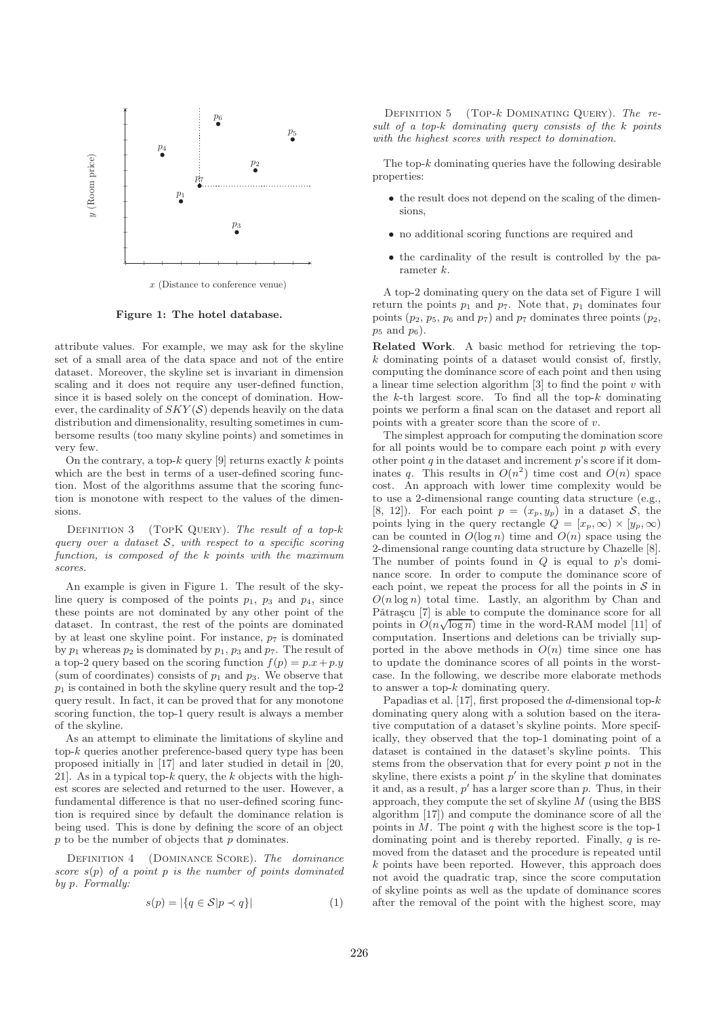

x (Distance to conference venue)

Figure 1: The hotel database.

attribute values. For example, we may ask for the skyline set of a small area of the data space and not of the entire dataset. Moreover, the skyline set is invariant in dimension scaling and it does not require any user-defined function, since it is based solely on the concept of domination. However, the cardinality of  $SKY(\mathcal{S})$  depends heavily on the data distribution and dimensionality, resulting sometimes in cumbersome results (too many skyline points) and sometimes in very few.

On the contrary, a top- $k$  query [9] returns exactly  $k$  points which are the best in terms of a user-defined scoring function. Most of the algorithms assume that the scoring function is monotone with respect to the values of the dimensions.

DEFINITION  $3$  (TOPK QUERY). The result of a top-k query over a dataset  $S$ , with respect to a specific scoring function, is composed of the k points with the maximum scores.

An example is given in Figure 1. The result of the skyline query is composed of the points  $p_1$ ,  $p_3$  and  $p_4$ , since these points are not dominated by any other point of the dataset. In contrast, the rest of the points are dominated by at least one skyline point. For instance,  $p_7$  is dominated by  $p_1$  whereas  $p_2$  is dominated by  $p_1$ ,  $p_3$  and  $p_7$ . The result of a top-2 query based on the scoring function  $f(p) = p.x + p.y$ (sum of coordinates) consists of  $p_1$  and  $p_3$ . We observe that  $p_1$  is contained in both the skyline query result and the top-2 query result. In fact, it can be proved that for any monotone scoring function, the top-1 query result is always a member of the skyline.

As an attempt to eliminate the limitations of skyline and  $top-k$  queries another preference-based query type has been proposed initially in [17] and later studied in detail in [20, 21]. As in a typical top- $k$  query, the k objects with the highest scores are selected and returned to the user. However, a fundamental difference is that no user-defined scoring function is required since by default the dominance relation is being used. This is done by defining the score of an object  $p$  to be the number of objects that  $p$  dominates.

DEFINITION 4 (DOMINANCE SCORE). The dominance score  $s(p)$  of a point p is the number of points dominated by p. Formally:

$$
s(p) = |\{q \in \mathcal{S}|p \prec q\}| \tag{1}
$$

DEFINITION  $5$  (TOP- $k$  DOMINATING QUERY). The result of a top-k dominating query consists of the k points with the highest scores with respect to domination.

The top- $k$  dominating queries have the following desirable properties:

- the result does not depend on the scaling of the dimensions,
- no additional scoring functions are required and
- the cardinality of the result is controlled by the parameter k.

A top-2 dominating query on the data set of Figure 1 will return the points  $p_1$  and  $p_7$ . Note that,  $p_1$  dominates four points  $(p_2, p_5, p_6 \text{ and } p_7)$  and  $p_7$  dominates three points  $(p_2, p_6 \text{ and } p_7)$  $p_5$  and  $p_6$ ).

Related Work. A basic method for retrieving the top $k$  dominating points of a dataset would consist of, firstly, computing the dominance score of each point and then using a linear time selection algorithm  $[3]$  to find the point v with the  $k$ -th largest score. To find all the top- $k$  dominating points we perform a final scan on the dataset and report all points with a greater score than the score of  $v$ .

The simplest approach for computing the domination score for all points would be to compare each point  $p$  with every other point  $q$  in the dataset and increment  $p$ 's score if it dominates q. This results in  $O(n^2)$  time cost and  $O(n)$  space cost. An approach with lower time complexity would be to use a 2-dimensional range counting data structure (e.g., [8, 12]). For each point  $p = (x_p, y_p)$  in a dataset S, the points lying in the query rectangle  $Q = [x_p, \infty) \times [y_p, \infty)$ can be counted in  $O(\log n)$  time and  $O(n)$  space using the 2-dimensional range counting data structure by Chazelle [8]. The number of points found in  $Q$  is equal to  $p$ 's dominance score. In order to compute the dominance score of each point, we repeat the process for all the points in  $S$  in  $O(n \log n)$  total time. Lastly, an algorithm by Chan and Pătrașcu [7] is able to compute the dominance score for all points in  $O(n\sqrt{\log n})$  time in the word-RAM model [11] of computation. Insertions and deletions can be trivially supported in the above methods in  $O(n)$  time since one has to update the dominance scores of all points in the worstcase. In the following, we describe more elaborate methods to answer a top-k dominating query.

Papadias et al. [17], first proposed the  $d$ -dimensional top- $k$ dominating query along with a solution based on the iterative computation of a dataset's skyline points. More specifically, they observed that the top-1 dominating point of a dataset is contained in the dataset's skyline points. This stems from the observation that for every point  $p$  not in the skyline, there exists a point  $p'$  in the skyline that dominates it and, as a result,  $p'$  has a larger score than  $p$ . Thus, in their approach, they compute the set of skyline M (using the BBS algorithm [17]) and compute the dominance score of all the points in  $M$ . The point q with the highest score is the top-1 dominating point and is thereby reported. Finally,  $q$  is removed from the dataset and the procedure is repeated until  $k$  points have been reported. However, this approach does not avoid the quadratic trap, since the score computation of skyline points as well as the update of dominance scores after the removal of the point with the highest score, may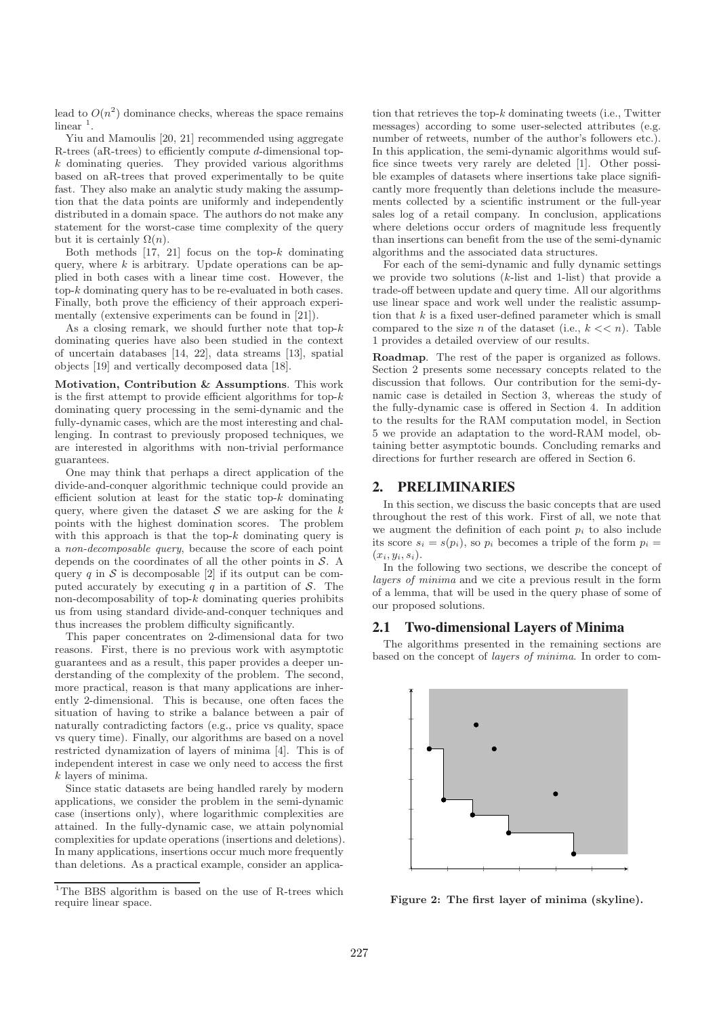lead to  $O(n^2)$  dominance checks, whereas the space remains  $linear<sup>1</sup>$ .

Yiu and Mamoulis [20, 21] recommended using aggregate R-trees (aR-trees) to efficiently compute d-dimensional top $k$  dominating queries. They provided various algorithms based on aR-trees that proved experimentally to be quite fast. They also make an analytic study making the assumption that the data points are uniformly and independently distributed in a domain space. The authors do not make any statement for the worst-case time complexity of the query but it is certainly  $\Omega(n)$ .

Both methods  $[17, 21]$  focus on the top- $k$  dominating query, where  $k$  is arbitrary. Update operations can be applied in both cases with a linear time cost. However, the top- $k$  dominating query has to be re-evaluated in both cases. Finally, both prove the efficiency of their approach experimentally (extensive experiments can be found in [21]).

As a closing remark, we should further note that top- $k$ dominating queries have also been studied in the context of uncertain databases [14, 22], data streams [13], spatial objects [19] and vertically decomposed data [18].

Motivation, Contribution & Assumptions. This work is the first attempt to provide efficient algorithms for top- $k$ dominating query processing in the semi-dynamic and the fully-dynamic cases, which are the most interesting and challenging. In contrast to previously proposed techniques, we are interested in algorithms with non-trivial performance guarantees.

One may think that perhaps a direct application of the divide-and-conquer algorithmic technique could provide an efficient solution at least for the static top- $k$  dominating query, where given the dataset  $S$  we are asking for the k points with the highest domination scores. The problem with this approach is that the top- $k$  dominating query is a non-decomposable query, because the score of each point depends on the coordinates of all the other points in S. A query q in  $S$  is decomposable [2] if its output can be computed accurately by executing q in a partition of  $S$ . The non-decomposability of top- $k$  dominating queries prohibits us from using standard divide-and-conquer techniques and thus increases the problem difficulty significantly.

This paper concentrates on 2-dimensional data for two reasons. First, there is no previous work with asymptotic guarantees and as a result, this paper provides a deeper understanding of the complexity of the problem. The second, more practical, reason is that many applications are inherently 2-dimensional. This is because, one often faces the situation of having to strike a balance between a pair of naturally contradicting factors (e.g., price vs quality, space vs query time). Finally, our algorithms are based on a novel restricted dynamization of layers of minima [4]. This is of independent interest in case we only need to access the first k layers of minima.

Since static datasets are being handled rarely by modern applications, we consider the problem in the semi-dynamic case (insertions only), where logarithmic complexities are attained. In the fully-dynamic case, we attain polynomial complexities for update operations (insertions and deletions). In many applications, insertions occur much more frequently than deletions. As a practical example, consider an application that retrieves the top- $k$  dominating tweets (i.e., Twitter messages) according to some user-selected attributes (e.g. number of retweets, number of the author's followers etc.). In this application, the semi-dynamic algorithms would suffice since tweets very rarely are deleted [1]. Other possible examples of datasets where insertions take place significantly more frequently than deletions include the measurements collected by a scientific instrument or the full-year sales log of a retail company. In conclusion, applications where deletions occur orders of magnitude less frequently than insertions can benefit from the use of the semi-dynamic algorithms and the associated data structures.

For each of the semi-dynamic and fully dynamic settings we provide two solutions  $(k$ -list and 1-list) that provide a trade-off between update and query time. All our algorithms use linear space and work well under the realistic assumption that  $k$  is a fixed user-defined parameter which is small compared to the size n of the dataset (i.e.,  $k \ll n$ ). Table 1 provides a detailed overview of our results.

Roadmap. The rest of the paper is organized as follows. Section 2 presents some necessary concepts related to the discussion that follows. Our contribution for the semi-dynamic case is detailed in Section 3, whereas the study of the fully-dynamic case is offered in Section 4. In addition to the results for the RAM computation model, in Section 5 we provide an adaptation to the word-RAM model, obtaining better asymptotic bounds. Concluding remarks and directions for further research are offered in Section 6.

# **2. PRELIMINARIES**

In this section, we discuss the basic concepts that are used throughout the rest of this work. First of all, we note that we augment the definition of each point  $p_i$  to also include its score  $s_i = s(p_i)$ , so  $p_i$  becomes a triple of the form  $p_i =$  $(x_i, y_i, s_i).$ 

In the following two sections, we describe the concept of layers of minima and we cite a previous result in the form of a lemma, that will be used in the query phase of some of our proposed solutions.

# **2.1 Two-dimensional Layers of Minima**

The algorithms presented in the remaining sections are based on the concept of layers of minima. In order to com-



Figure 2: The first layer of minima (skyline).

<sup>&</sup>lt;sup>1</sup>The BBS algorithm is based on the use of R-trees which require linear space.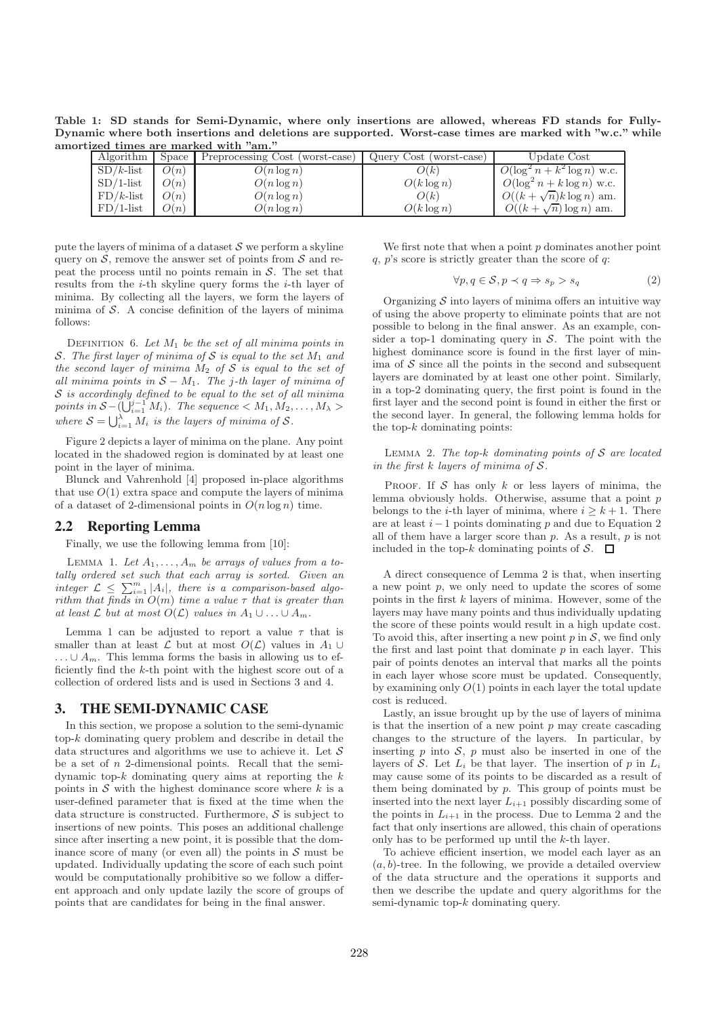Table 1: SD stands for Semi-Dynamic, where only insertions are allowed, whereas FD stands for Fully-Dynamic where both insertions and deletions are supported. Worst-case times are marked with "w.c." while amortized times are marked with "am."

| Algorithm    | Space | Preprocessing Cost (worst-case) | Query Cost (worst-case) | Update Cost                     |
|--------------|-------|---------------------------------|-------------------------|---------------------------------|
| $SD/k$ -list | O(n)  | $O(n \log n)$                   | O(k)                    | $O(\log^2 n + k^2 \log n)$ w.c. |
| $SD/1$ -list | O(n)  | $O(n \log n)$                   | $O(k \log n)$           | $O(\log^2 n + k \log n)$ w.c.   |
| $FD/k$ -list | O(n)  | $O(n \log n)$                   | O(k)                    | $O((k + \sqrt{n})k \log n)$ am. |
| $FD/1$ -list | O(n)  | $O(n \log n)$                   | $O(k \log n)$           | $O((k+\sqrt{n})\log n)$ am.     |

pute the layers of minima of a dataset  $S$  we perform a skyline query on  $\mathcal S$ , remove the answer set of points from  $\mathcal S$  and repeat the process until no points remain in  $S$ . The set that results from the  $i$ -th skyline query forms the  $i$ -th layer of minima. By collecting all the layers, we form the layers of minima of  $S$ . A concise definition of the layers of minima follows:

DEFINITION 6. Let  $M_1$  be the set of all minima points in S. The first layer of minima of S is equal to the set  $M_1$  and the second layer of minima  $M_2$  of S is equal to the set of all minima points in  $S - M_1$ . The j-th layer of minima of  $S$  is accordingly defined to be equal to the set of all minima points in  $S - \left(\bigcup_{i=1}^{j-1} M_i\right)$ . The sequence  $\langle M_1, M_2, \ldots, M_{\lambda} \rangle$ where  $S = \bigcup_{i=1}^{\lambda} M_i$  is the layers of minima of S.

Figure 2 depicts a layer of minima on the plane. Any point located in the shadowed region is dominated by at least one point in the layer of minima.

Blunck and Vahrenhold [4] proposed in-place algorithms that use  $O(1)$  extra space and compute the layers of minima of a dataset of 2-dimensional points in  $O(n \log n)$  time.

## **2.2 Reporting Lemma**

Finally, we use the following lemma from [10]:

LEMMA 1. Let  $A_1, \ldots, A_m$  be arrays of values from a totally ordered set such that each array is sorted. Given an integer  $\mathcal{L} \leq \sum_{i=1}^{m} |A_i|$ , there is a comparison-based algorithm that finds in  $O(m)$  time a value  $\tau$  that is greater than at least  $\mathcal L$  but at most  $O(\mathcal L)$  values in  $A_1 \cup \ldots \cup A_m$ .

Lemma 1 can be adjusted to report a value  $\tau$  that is smaller than at least  $\mathcal L$  but at most  $O(\mathcal L)$  values in  $A_1 \cup$ ...∪  $A_m$ . This lemma forms the basis in allowing us to efficiently find the k-th point with the highest score out of a collection of ordered lists and is used in Sections 3 and 4.

# **3. THE SEMI-DYNAMIC CASE**

In this section, we propose a solution to the semi-dynamic  $top-k$  dominating query problem and describe in detail the data structures and algorithms we use to achieve it. Let  $\mathcal S$ be a set of  $n$  2-dimensional points. Recall that the semidynamic top- $k$  dominating query aims at reporting the  $k$ points in  $S$  with the highest dominance score where  $k$  is a user-defined parameter that is fixed at the time when the data structure is constructed. Furthermore,  $S$  is subject to insertions of new points. This poses an additional challenge since after inserting a new point, it is possible that the dominance score of many (or even all) the points in  $S$  must be updated. Individually updating the score of each such point would be computationally prohibitive so we follow a different approach and only update lazily the score of groups of points that are candidates for being in the final answer.

We first note that when a point  $p$  dominates another point  $q, p$ 's score is strictly greater than the score of  $q$ :

$$
\forall p, q \in \mathcal{S}, p \prec q \Rightarrow s_p > s_q \tag{2}
$$

Organizing  $S$  into layers of minima offers an intuitive way of using the above property to eliminate points that are not possible to belong in the final answer. As an example, consider a top-1 dominating query in  $S$ . The point with the highest dominance score is found in the first layer of minima of  $S$  since all the points in the second and subsequent layers are dominated by at least one other point. Similarly, in a top-2 dominating query, the first point is found in the first layer and the second point is found in either the first or the second layer. In general, the following lemma holds for the top- $k$  dominating points:

LEMMA 2. The top-k dominating points of  $S$  are located in the first  $k$  layers of minima of  $S$ .

PROOF. If  $S$  has only  $k$  or less layers of minima, the lemma obviously holds. Otherwise, assume that a point  $p$ belongs to the *i*-th layer of minima, where  $i \geq k+1$ . There are at least  $i-1$  points dominating p and due to Equation 2 all of them have a larger score than  $p$ . As a result,  $p$  is not included in the top-k dominating points of  $S$ .  $\Box$ 

A direct consequence of Lemma 2 is that, when inserting a new point  $p$ , we only need to update the scores of some points in the first  $k$  layers of minima. However, some of the layers may have many points and thus individually updating the score of these points would result in a high update cost. To avoid this, after inserting a new point  $p$  in  $S$ , we find only the first and last point that dominate  $p$  in each layer. This pair of points denotes an interval that marks all the points in each layer whose score must be updated. Consequently, by examining only  $O(1)$  points in each layer the total update cost is reduced.

Lastly, an issue brought up by the use of layers of minima is that the insertion of a new point  $p$  may create cascading changes to the structure of the layers. In particular, by inserting  $p$  into  $S$ ,  $p$  must also be inserted in one of the layers of S. Let  $L_i$  be that layer. The insertion of p in  $L_i$ may cause some of its points to be discarded as a result of them being dominated by  $p$ . This group of points must be inserted into the next layer  $L_{i+1}$  possibly discarding some of the points in  $L_{i+1}$  in the process. Due to Lemma 2 and the fact that only insertions are allowed, this chain of operations only has to be performed up until the k-th layer.

To achieve efficient insertion, we model each layer as an  $(a, b)$ -tree. In the following, we provide a detailed overview of the data structure and the operations it supports and then we describe the update and query algorithms for the semi-dynamic top-k dominating query.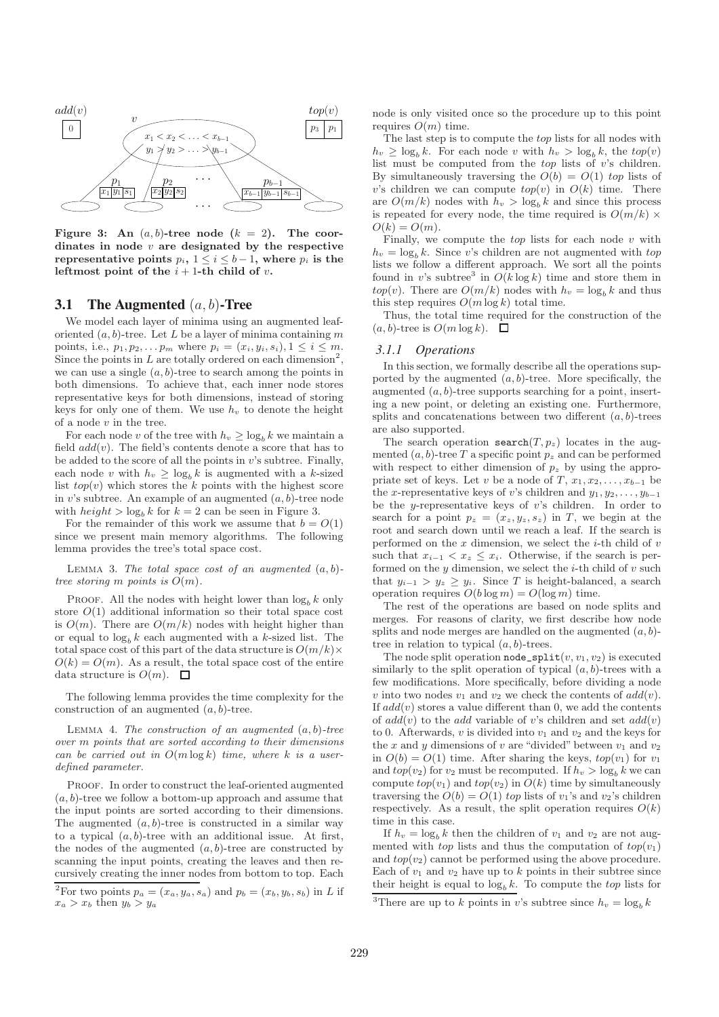

Figure 3: An  $(a, b)$ -tree node  $(k = 2)$ . The coordinates in node  $v$  are designated by the respective representative points  $p_i$ ,  $1 \leq i \leq b-1$ , where  $p_i$  is the leftmost point of the  $i+1$ -th child of v.

#### **3.1 The Augmented** (a, b)**-Tree**

We model each layer of minima using an augmented leaforiented  $(a, b)$ -tree. Let L be a layer of minima containing m points, i.e.,  $p_1, p_2, \ldots p_m$  where  $p_i = (x_i, y_i, s_i), 1 \le i \le m$ . Since the points in  $L$  are totally ordered on each dimension<sup>2</sup>, we can use a single  $(a, b)$ -tree to search among the points in both dimensions. To achieve that, each inner node stores representative keys for both dimensions, instead of storing keys for only one of them. We use  $h_v$  to denote the height of a node  $v$  in the tree.

For each node v of the tree with  $h_v \geq \log_b k$  we maintain a field  $add(v)$ . The field's contents denote a score that has to be added to the score of all the points in  $v$ 's subtree. Finally, each node v with  $h_v \geq \log_h k$  is augmented with a k-sized list  $top(v)$  which stores the k points with the highest score in v's subtree. An example of an augmented  $(a, b)$ -tree node with  $height > log_b k$  for  $k = 2$  can be seen in Figure 3.

For the remainder of this work we assume that  $b = O(1)$ since we present main memory algorithms. The following lemma provides the tree's total space cost.

LEMMA 3. The total space cost of an augmented  $(a, b)$ tree storing m points is  $O(m)$ .

PROOF. All the nodes with height lower than  $\log_b k$  only store  $O(1)$  additional information so their total space cost is  $O(m)$ . There are  $O(m/k)$  nodes with height higher than or equal to  $\log_b k$  each augmented with a k-sized list. The total space cost of this part of the data structure is  $O(m/k)$  $O(k) = O(m)$ . As a result, the total space cost of the entire data structure is  $O(m)$ .  $\Box$ 

The following lemma provides the time complexity for the construction of an augmented  $(a, b)$ -tree.

LEMMA 4. The construction of an augmented  $(a, b)$ -tree over m points that are sorted according to their dimensions can be carried out in  $O(m \log k)$  time, where k is a userdefined parameter.

PROOF. In order to construct the leaf-oriented augmented  $(a, b)$ -tree we follow a bottom-up approach and assume that the input points are sorted according to their dimensions. The augmented  $(a, b)$ -tree is constructed in a similar way to a typical  $(a, b)$ -tree with an additional issue. At first, the nodes of the augmented  $(a, b)$ -tree are constructed by scanning the input points, creating the leaves and then recursively creating the inner nodes from bottom to top. Each node is only visited once so the procedure up to this point requires  $O(m)$  time.

The last step is to compute the top lists for all nodes with  $h_v \geq \log_b k$ . For each node v with  $h_v > \log_b k$ , the  $top(v)$ list must be computed from the  $top$  lists of  $v$ 's children. By simultaneously traversing the  $O(b) = O(1)$  top lists of v's children we can compute  $top(v)$  in  $O(k)$  time. There are  $O(m/k)$  nodes with  $h_v > \log_b k$  and since this process is repeated for every node, the time required is  $O(m/k)$  ×  $O(k) = O(m)$ .

Finally, we compute the  $top$  lists for each node  $v$  with  $h_v = \log_b k$ . Since v's children are not augmented with top lists we follow a different approach. We sort all the points found in v's subtree<sup>3</sup> in  $O(k \log k)$  time and store them in  $top(v)$ . There are  $O(m/k)$  nodes with  $h_v = \log_h k$  and thus this step requires  $O(m \log k)$  total time.

Thus, the total time required for the construction of the  $(a, b)$ -tree is  $O(m \log k)$ .  $\Box$ 

#### *3.1.1 Operations*

In this section, we formally describe all the operations supported by the augmented  $(a, b)$ -tree. More specifically, the augmented  $(a, b)$ -tree supports searching for a point, inserting a new point, or deleting an existing one. Furthermore, splits and concatenations between two different  $(a, b)$ -trees are also supported.

The search operation search $(T, p_z)$  locates in the augmented  $(a, b)$ -tree T a specific point  $p_z$  and can be performed with respect to either dimension of  $p_z$  by using the appropriate set of keys. Let v be a node of T,  $x_1, x_2, \ldots, x_{b-1}$  be the x-representative keys of v's children and  $y_1, y_2, \ldots, y_{b-1}$ be the *y*-representative keys of  $v$ 's children. In order to search for a point  $p_z = (x_z, y_z, s_z)$  in T, we begin at the root and search down until we reach a leaf. If the search is performed on the  $x$  dimension, we select the  $i$ -th child of  $v$ such that  $x_{i-1} < x_z \leq x_i$ . Otherwise, if the search is performed on the  $y$  dimension, we select the  $i$ -th child of  $v$  such that  $y_{i-1} > y_z \geq y_i$ . Since T is height-balanced, a search operation requires  $O(b \log m) = O(\log m)$  time.

The rest of the operations are based on node splits and merges. For reasons of clarity, we first describe how node splits and node merges are handled on the augmented  $(a, b)$ tree in relation to typical  $(a, b)$ -trees.

The node split operation  $\texttt{node\_split}(v, v_1, v_2)$  is executed similarly to the split operation of typical  $(a, b)$ -trees with a few modifications. More specifically, before dividing a node v into two nodes  $v_1$  and  $v_2$  we check the contents of  $add(v)$ . If  $add(v)$  stores a value different than 0, we add the contents of  $add(v)$  to the add variable of v's children and set  $add(v)$ to 0. Afterwards,  $v$  is divided into  $v_1$  and  $v_2$  and the keys for the x and y dimensions of v are "divided" between  $v_1$  and  $v_2$ in  $O(b) = O(1)$  time. After sharing the keys,  $top(v_1)$  for  $v_1$ and  $top(v_2)$  for  $v_2$  must be recomputed. If  $h_v > \log_b k$  we can compute  $top(v_1)$  and  $top(v_2)$  in  $O(k)$  time by simultaneously traversing the  $O(b) = O(1)$  top lists of  $v_1$ 's and  $v_2$ 's children respectively. As a result, the split operation requires  $O(k)$ time in this case.

If  $h_v = \log_b k$  then the children of  $v_1$  and  $v_2$  are not augmented with top lists and thus the computation of  $top(v_1)$ and  $top(v_2)$  cannot be performed using the above procedure. Each of  $v_1$  and  $v_2$  have up to k points in their subtree since their height is equal to  $\log_b k$ . To compute the top lists for

<sup>&</sup>lt;sup>2</sup>For two points  $p_a = (x_a, y_a, s_a)$  and  $p_b = (x_b, y_b, s_b)$  in L if  $x_a > x_b$  then  $y_b > y_a$ 

<sup>&</sup>lt;sup>3</sup>There are up to k points in v's subtree since  $h_v = \log_b k$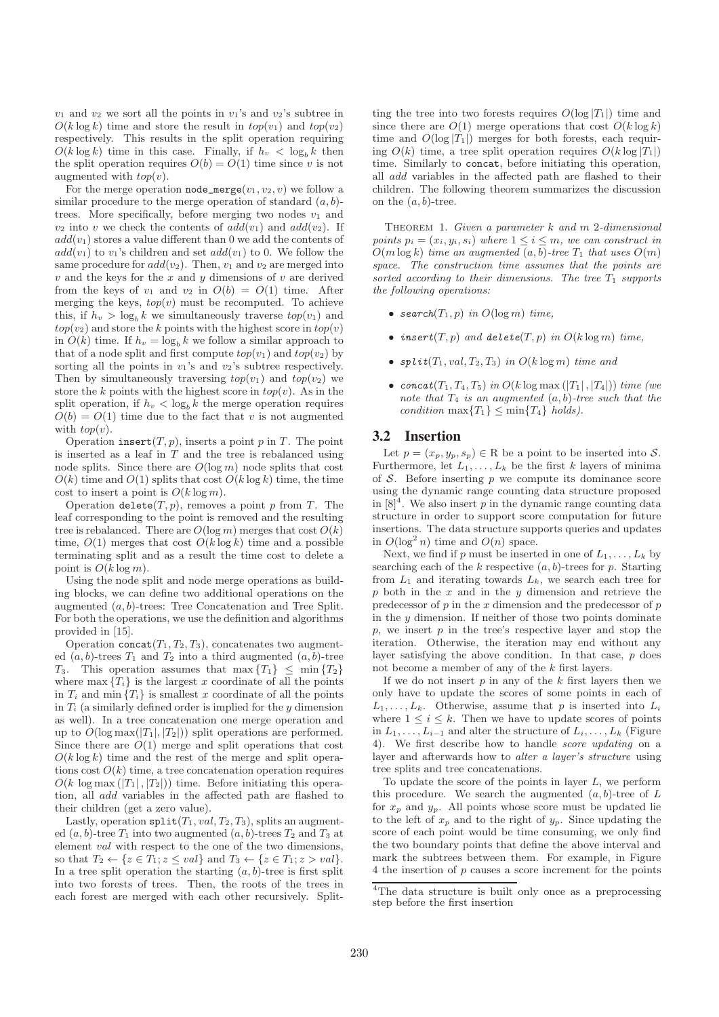$v_1$  and  $v_2$  we sort all the points in  $v_1$ 's and  $v_2$ 's subtree in  $O(k \log k)$  time and store the result in  $top(v_1)$  and  $top(v_2)$ respectively. This results in the split operation requiring  $O(k \log k)$  time in this case. Finally, if  $h_v < \log_b k$  then the split operation requires  $O(b) = O(1)$  time since v is not augmented with  $top(v)$ .

For the merge operation **node\_merge** $(v_1, v_2, v)$  we follow a similar procedure to the merge operation of standard  $(a, b)$ trees. More specifically, before merging two nodes  $v_1$  and  $v_2$  into v we check the contents of  $add(v_1)$  and  $add(v_2)$ . If  $add(v_1)$  stores a value different than 0 we add the contents of  $add(v_1)$  to  $v_1$ 's children and set  $add(v_1)$  to 0. We follow the same procedure for  $add(v_2)$ . Then,  $v_1$  and  $v_2$  are merged into  $v$  and the keys for the  $x$  and  $y$  dimensions of  $v$  are derived from the keys of  $v_1$  and  $v_2$  in  $O(b) = O(1)$  time. After merging the keys,  $top(v)$  must be recomputed. To achieve this, if  $h_v > \log_b k$  we simultaneously traverse  $top(v_1)$  and  $top(v_2)$  and store the k points with the highest score in  $top(v)$ in  $O(k)$  time. If  $h_v = \log_h k$  we follow a similar approach to that of a node split and first compute  $top(v_1)$  and  $top(v_2)$  by sorting all the points in  $v_1$ 's and  $v_2$ 's subtree respectively. Then by simultaneously traversing  $top(v_1)$  and  $top(v_2)$  we store the k points with the highest score in  $top(v)$ . As in the split operation, if  $h_v < \log_b k$  the merge operation requires  $O(b) = O(1)$  time due to the fact that v is not augmented with  $top(v)$ .

Operation insert $(T, p)$ , inserts a point p in T. The point is inserted as a leaf in  $T$  and the tree is rebalanced using node splits. Since there are  $O(\log m)$  node splits that cost  $O(k)$  time and  $O(1)$  splits that cost  $O(k \log k)$  time, the time cost to insert a point is  $O(k \log m)$ .

Operation delete $(T, p)$ , removes a point p from T. The leaf corresponding to the point is removed and the resulting tree is rebalanced. There are  $O(\log m)$  merges that cost  $O(k)$ time,  $O(1)$  merges that cost  $O(k \log k)$  time and a possible terminating split and as a result the time cost to delete a point is  $O(k \log m)$ .

Using the node split and node merge operations as building blocks, we can define two additional operations on the augmented  $(a, b)$ -trees: Tree Concatenation and Tree Split. For both the operations, we use the definition and algorithms provided in [15].

Operation concat $(T_1, T_2, T_3)$ , concatenates two augmented  $(a, b)$ -trees  $T_1$  and  $T_2$  into a third augmented  $(a, b)$ -tree T<sub>3</sub>. This operation assumes that  $\max\{T_1\} \leq \min\{T_2\}$ where  $\max\{T_i\}$  is the largest x coordinate of all the points in  $T_i$  and min  $\{T_i\}$  is smallest x coordinate of all the points in  $T_i$  (a similarly defined order is implied for the y dimension as well). In a tree concatenation one merge operation and up to  $O(\log \max(|T_1|, |T_2|))$  split operations are performed. Since there are  $O(1)$  merge and split operations that cost  $O(k \log k)$  time and the rest of the merge and split operations cost  $O(k)$  time, a tree concatenation operation requires  $O(k \log \max(|T_1|, |T_2|))$  time. Before initiating this operation, all add variables in the affected path are flashed to their children (get a zero value).

Lastly, operation  $split(T_1, val, T_2, T_3)$ , splits an augmented  $(a, b)$ -tree  $T_1$  into two augmented  $(a, b)$ -trees  $T_2$  and  $T_3$  at element val with respect to the one of the two dimensions, so that  $T_2 \leftarrow \{z \in T_1; z \leq val\}$  and  $T_3 \leftarrow \{z \in T_1; z > val\}.$ In a tree split operation the starting  $(a, b)$ -tree is first split into two forests of trees. Then, the roots of the trees in each forest are merged with each other recursively. Splitting the tree into two forests requires  $O(\log |T_1|)$  time and since there are  $O(1)$  merge operations that cost  $O(k \log k)$ time and  $O(\log |T_1|)$  merges for both forests, each requiring  $O(k)$  time, a tree split operation requires  $O(k \log |T_1|)$ time. Similarly to concat, before initiating this operation, all add variables in the affected path are flashed to their children. The following theorem summarizes the discussion on the  $(a, b)$ -tree.

THEOREM 1. Given a parameter  $k$  and  $m$  2-dimensional points  $p_i = (x_i, y_i, s_i)$  where  $1 \leq i \leq m$ , we can construct in  $O(m \log k)$  time an augmented  $(a, b)$ -tree  $T_1$  that uses  $O(m)$ space. The construction time assumes that the points are sorted according to their dimensions. The tree  $T_1$  supports the following operations:

- search $(T_1, p)$  in  $O(\log m)$  time,
- insert $(T, p)$  and delete $(T, p)$  in  $O(k \log m)$  time,
- $split(T_1, val, T_2, T_3)$  in  $O(k \log m)$  time and
- concat $(T_1, T_4, T_5)$  in  $O(k \log \max(|T_1|, |T_4|))$  time (we note that  $T_4$  is an augmented  $(a, b)$ -tree such that the condition  $\max\{T_1\} \leq \min\{T_4\}$  holds).

#### **3.2 Insertion**

Let  $p = (x_p, y_p, s_p) \in \mathbb{R}$  be a point to be inserted into S. Furthermore, let  $L_1, \ldots, L_k$  be the first k layers of minima of  $S$ . Before inserting  $p$  we compute its dominance score using the dynamic range counting data structure proposed in  $[8]^4$ . We also insert p in the dynamic range counting data structure in order to support score computation for future insertions. The data structure supports queries and updates in  $O(\log^2 n)$  time and  $O(n)$  space.

Next, we find if p must be inserted in one of  $L_1, \ldots, L_k$  by searching each of the  $k$  respective  $(a, b)$ -trees for  $p$ . Starting from  $L_1$  and iterating towards  $L_k$ , we search each tree for  $p$  both in the  $x$  and in the  $y$  dimension and retrieve the predecessor of  $p$  in the  $x$  dimension and the predecessor of  $p$ in the  $y$  dimension. If neither of those two points dominate  $p$ , we insert  $p$  in the tree's respective layer and stop the iteration. Otherwise, the iteration may end without any layer satisfying the above condition. In that case, p does not become a member of any of the k first layers.

If we do not insert  $p$  in any of the  $k$  first layers then we only have to update the scores of some points in each of  $L_1, \ldots, L_k$ . Otherwise, assume that p is inserted into  $L_i$ where  $1 \leq i \leq k$ . Then we have to update scores of points in  $L_1, \ldots, L_{i-1}$  and alter the structure of  $L_i, \ldots, L_k$  (Figure 4). We first describe how to handle score updating on a layer and afterwards how to alter a layer's structure using tree splits and tree concatenations.

To update the score of the points in layer  $L$ , we perform this procedure. We search the augmented  $(a, b)$ -tree of  $L$ for  $x_p$  and  $y_p$ . All points whose score must be updated lie to the left of  $x_p$  and to the right of  $y_p$ . Since updating the score of each point would be time consuming, we only find the two boundary points that define the above interval and mark the subtrees between them. For example, in Figure 4 the insertion of p causes a score increment for the points

<sup>4</sup>The data structure is built only once as a preprocessing step before the first insertion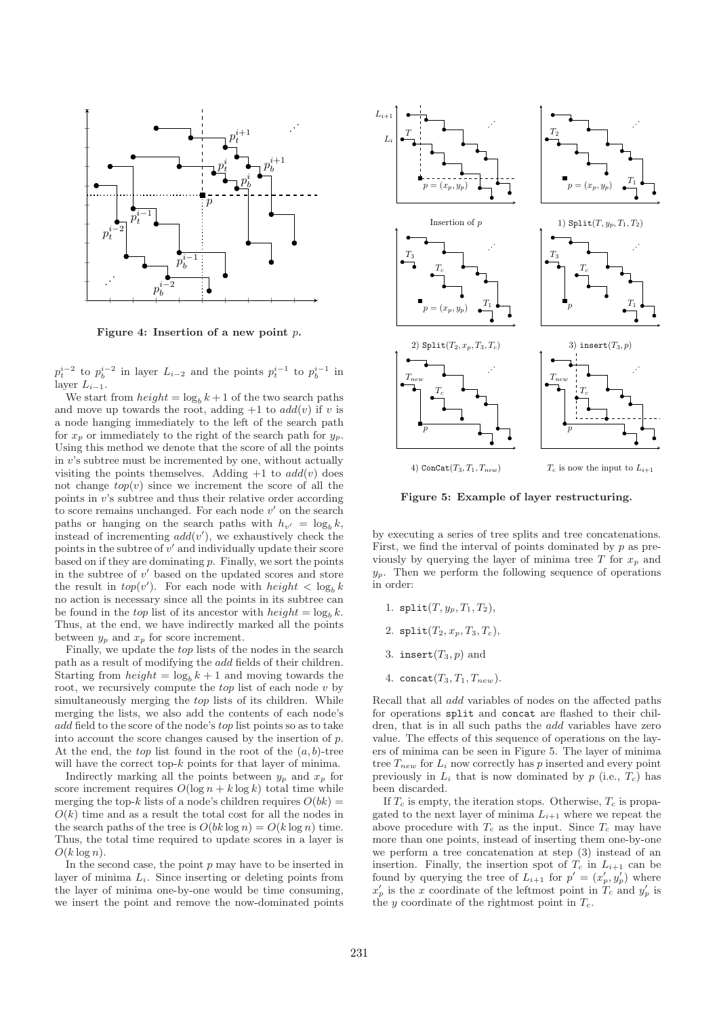

Figure 4: Insertion of a new point p.

 $p_t^{i-2}$  to  $p_b^{i-2}$  in layer  $L_{i-2}$  and the points  $p_t^{i-1}$  to  $p_b^{i-1}$  in layer  $L_{i-1}$ .

We start from  $height = log_b k + 1$  of the two search paths and move up towards the root, adding  $+1$  to  $add(v)$  if v is a node hanging immediately to the left of the search path for  $x_p$  or immediately to the right of the search path for  $y_p$ . Using this method we denote that the score of all the points in v's subtree must be incremented by one, without actually visiting the points themselves. Adding  $+1$  to  $add(v)$  does not change  $\text{top}(v)$  since we increment the score of all the points in v's subtree and thus their relative order according to score remains unchanged. For each node  $v'$  on the search paths or hanging on the search paths with  $h_{\nu'} = \log_b k$ , instead of incrementing  $add(v')$ , we exhaustively check the points in the subtree of  $v'$  and individually update their score based on if they are dominating  $p$ . Finally, we sort the points in the subtree of  $v'$  based on the updated scores and store the result in  $top(v')$ . For each node with  $height < log_b k$ no action is necessary since all the points in its subtree can be found in the top list of its ancestor with  $height = log_b k$ . Thus, at the end, we have indirectly marked all the points between  $y_p$  and  $x_p$  for score increment.

Finally, we update the top lists of the nodes in the search path as a result of modifying the add fields of their children. Starting from  $height = log_b k + 1$  and moving towards the root, we recursively compute the  $top$  list of each node  $v$  by simultaneously merging the top lists of its children. While merging the lists, we also add the contents of each node's add field to the score of the node's top list points so as to take into account the score changes caused by the insertion of p. At the end, the *top* list found in the root of the  $(a, b)$ -tree will have the correct top- $k$  points for that layer of minima.

Indirectly marking all the points between  $y_p$  and  $x_p$  for score increment requires  $O(\log n + k \log k)$  total time while merging the top-k lists of a node's children requires  $O(bk)$  =  $O(k)$  time and as a result the total cost for all the nodes in the search paths of the tree is  $O(bk \log n) = O(k \log n)$  time. Thus, the total time required to update scores in a layer is  $O(k \log n)$ .

In the second case, the point  $p$  may have to be inserted in layer of minima  $L_i$ . Since inserting or deleting points from the layer of minima one-by-one would be time consuming, we insert the point and remove the now-dominated points



Figure 5: Example of layer restructuring.

by executing a series of tree splits and tree concatenations. First, we find the interval of points dominated by  $p$  as previously by querying the layer of minima tree  $T$  for  $x_p$  and  $y_p$ . Then we perform the following sequence of operations in order:

- 1.  $split(T, y_p, T_1, T_2),$
- 2.  $split(T_2, x_p, T_3, T_c),$
- 3. insert $(T_3, p)$  and
- 4. concat $(T_3, T_1, T_{new})$ .

Recall that all add variables of nodes on the affected paths for operations split and concat are flashed to their children, that is in all such paths the add variables have zero value. The effects of this sequence of operations on the layers of minima can be seen in Figure 5. The layer of minima tree  $T_{new}$  for  $L_i$  now correctly has p inserted and every point previously in  $L_i$  that is now dominated by p (i.e.,  $T_c$ ) has been discarded.

If  $T_c$  is empty, the iteration stops. Otherwise,  $T_c$  is propagated to the next layer of minima  $L_{i+1}$  where we repeat the above procedure with  $T_c$  as the input. Since  $T_c$  may have more than one points, instead of inserting them one-by-one we perform a tree concatenation at step (3) instead of an insertion. Finally, the insertion spot of  $T_c$  in  $L_{i+1}$  can be found by querying the tree of  $L_{i+1}$  for  $p' = (x'_p, y'_p)$  where  $x'_p$  is the x coordinate of the leftmost point in  $T_c$  and  $y'_p$  is the y coordinate of the rightmost point in  $T_c$ .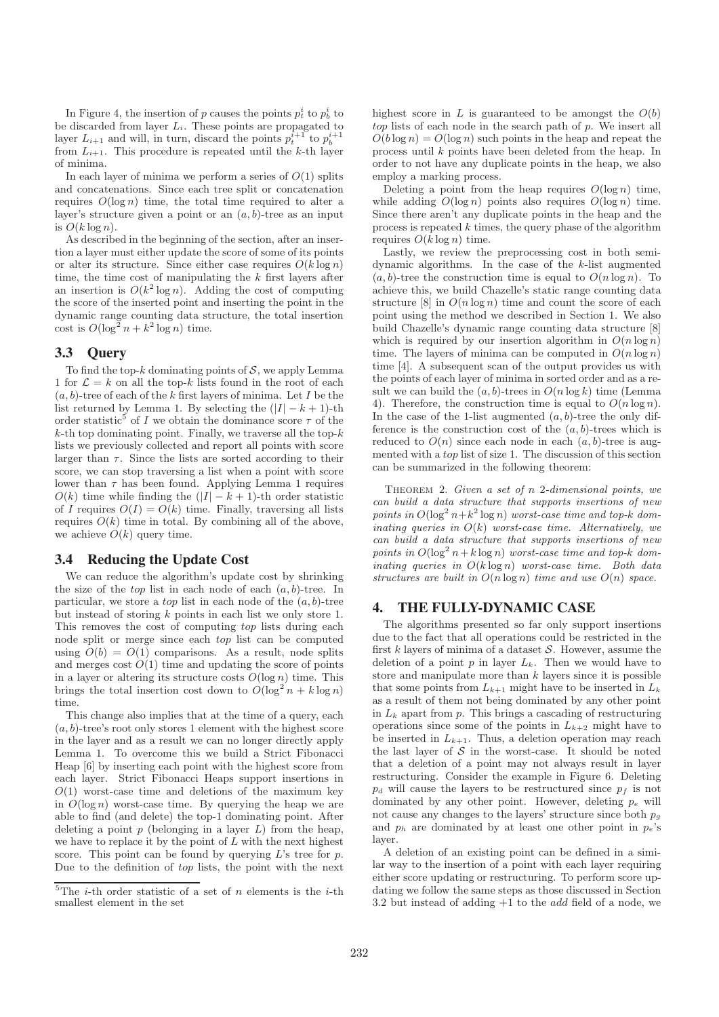In Figure 4, the insertion of p causes the points  $p_t^i$  to  $p_b^i$  to be discarded from layer  $L_i$ . These points are propagated to layer  $L_{i+1}$  and will, in turn, discard the points  $p_t^{i+1}$  to  $p_b^{i+1}$ from  $L_{i+1}$ . This procedure is repeated until the k-th layer of minima.

In each layer of minima we perform a series of  $O(1)$  splits and concatenations. Since each tree split or concatenation requires  $O(\log n)$  time, the total time required to alter a layer's structure given a point or an  $(a, b)$ -tree as an input is  $O(k \log n)$ .

As described in the beginning of the section, after an insertion a layer must either update the score of some of its points or alter its structure. Since either case requires  $O(k \log n)$ time, the time cost of manipulating the  $k$  first layers after an insertion is  $O(k^2 \log n)$ . Adding the cost of computing the score of the inserted point and inserting the point in the dynamic range counting data structure, the total insertion cost is  $O(\log^2 n + k^2 \log n)$  time.

# **3.3 Query**

To find the top- $k$  dominating points of  $S$ , we apply Lemma 1 for  $\mathcal{L} = k$  on all the top-k lists found in the root of each  $(a, b)$ -tree of each of the k first layers of minima. Let I be the list returned by Lemma 1. By selecting the  $(|I| - k + 1)$ -th order statistic<sup>5</sup> of *I* we obtain the dominance score  $\tau$  of the  $k$ -th top dominating point. Finally, we traverse all the top- $k$ lists we previously collected and report all points with score larger than  $\tau$ . Since the lists are sorted according to their score, we can stop traversing a list when a point with score lower than  $\tau$  has been found. Applying Lemma 1 requires  $O(k)$  time while finding the  $(|I| - k + 1)$ -th order statistic of I requires  $O(I) = O(k)$  time. Finally, traversing all lists requires  $O(k)$  time in total. By combining all of the above, we achieve  $O(k)$  query time.

# **3.4 Reducing the Update Cost**

We can reduce the algorithm's update cost by shrinking the size of the *top* list in each node of each  $(a, b)$ -tree. In particular, we store a *top* list in each node of the  $(a, b)$ -tree but instead of storing  $k$  points in each list we only store 1. This removes the cost of computing top lists during each node split or merge since each top list can be computed using  $O(b) = O(1)$  comparisons. As a result, node splits and merges cost  $O(1)$  time and updating the score of points in a layer or altering its structure costs  $O(\log n)$  time. This brings the total insertion cost down to  $O(\log^2 n + k \log n)$ time.

This change also implies that at the time of a query, each  $(a, b)$ -tree's root only stores 1 element with the highest score in the layer and as a result we can no longer directly apply Lemma 1. To overcome this we build a Strict Fibonacci Heap [6] by inserting each point with the highest score from each layer. Strict Fibonacci Heaps support insertions in  $O(1)$  worst-case time and deletions of the maximum key in  $O(\log n)$  worst-case time. By querying the heap we are able to find (and delete) the top-1 dominating point. After deleting a point  $p$  (belonging in a layer  $L$ ) from the heap, we have to replace it by the point of  $L$  with the next highest score. This point can be found by querying  $L$ 's tree for  $p$ . Due to the definition of top lists, the point with the next

highest score in  $L$  is guaranteed to be amongst the  $O(b)$ top lists of each node in the search path of p. We insert all  $O(b \log n) = O(\log n)$  such points in the heap and repeat the process until k points have been deleted from the heap. In order to not have any duplicate points in the heap, we also employ a marking process.

Deleting a point from the heap requires  $O(\log n)$  time, while adding  $O(\log n)$  points also requires  $O(\log n)$  time. Since there aren't any duplicate points in the heap and the process is repeated  $k$  times, the query phase of the algorithm requires  $O(k \log n)$  time.

Lastly, we review the preprocessing cost in both semidynamic algorithms. In the case of the k-list augmented  $(a, b)$ -tree the construction time is equal to  $O(n \log n)$ . To achieve this, we build Chazelle's static range counting data structure [8] in  $O(n \log n)$  time and count the score of each point using the method we described in Section 1. We also build Chazelle's dynamic range counting data structure [8] which is required by our insertion algorithm in  $O(n \log n)$ time. The layers of minima can be computed in  $O(n \log n)$ time [4]. A subsequent scan of the output provides us with the points of each layer of minima in sorted order and as a result we can build the  $(a, b)$ -trees in  $O(n \log k)$  time (Lemma 4). Therefore, the construction time is equal to  $O(n \log n)$ . In the case of the 1-list augmented  $(a, b)$ -tree the only difference is the construction cost of the  $(a, b)$ -trees which is reduced to  $O(n)$  since each node in each  $(a, b)$ -tree is augmented with a top list of size 1. The discussion of this section can be summarized in the following theorem:

THEOREM 2. Given a set of  $n$  2-dimensional points, we can build a data structure that supports insertions of new points in  $O(\log^2 n + k^2 \log n)$  worst-case time and top-k dominating queries in  $O(k)$  worst-case time. Alternatively, we can build a data structure that supports insertions of new points in  $O(\log^2 n + k \log n)$  worst-case time and top-k dominating queries in  $O(k \log n)$  worst-case time. Both data structures are built in  $O(n \log n)$  time and use  $O(n)$  space.

## **4. THE FULLY-DYNAMIC CASE**

The algorithms presented so far only support insertions due to the fact that all operations could be restricted in the first  $k$  layers of minima of a dataset  $S$ . However, assume the deletion of a point  $p$  in layer  $L_k$ . Then we would have to store and manipulate more than  $k$  layers since it is possible that some points from  $L_{k+1}$  might have to be inserted in  $L_k$ as a result of them not being dominated by any other point in  $L_k$  apart from  $p$ . This brings a cascading of restructuring operations since some of the points in  $L_{k+2}$  might have to be inserted in  $L_{k+1}$ . Thus, a deletion operation may reach the last layer of  $S$  in the worst-case. It should be noted that a deletion of a point may not always result in layer restructuring. Consider the example in Figure 6. Deleting  $p_d$  will cause the layers to be restructured since  $p_f$  is not dominated by any other point. However, deleting  $p_e$  will not cause any changes to the layers' structure since both  $p_q$ and  $p_h$  are dominated by at least one other point in  $p_e$ 's layer.

A deletion of an existing point can be defined in a similar way to the insertion of a point with each layer requiring either score updating or restructuring. To perform score updating we follow the same steps as those discussed in Section 3.2 but instead of adding  $+1$  to the *add* field of a node, we

<sup>&</sup>lt;sup>5</sup>The *i*-th order statistic of a set of *n* elements is the *i*-th smallest element in the set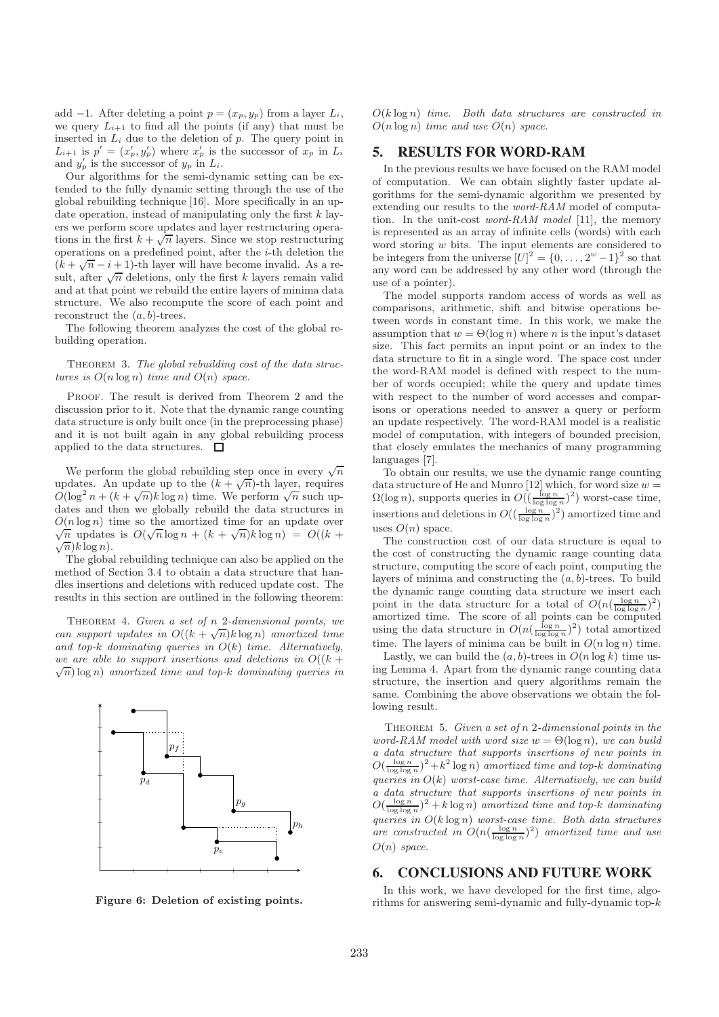add −1. After deleting a point  $p = (x_p, y_p)$  from a layer  $L_i$ , we query  $L_{i+1}$  to find all the points (if any) that must be inserted in  $L_i$  due to the deletion of p. The query point in  $L_{i+1}$  is  $p' = (x'_p, y'_p)$  where  $x'_p$  is the successor of  $x_p$  in  $L_i$ and  $y'_p$  is the successor of  $y_p$  in  $L_i$ .

Our algorithms for the semi-dynamic setting can be extended to the fully dynamic setting through the use of the global rebuilding technique [16]. More specifically in an update operation, instead of manipulating only the first  $k$  layers we perform score updates and layer restructuring operations in the first  $k + \sqrt{n}$  layers. Since we stop restructuring operations on a predefined point, after the  $i$ -th deletion the  $(k + \sqrt{n} - i + 1)$ -th layer will have become invalid. As a result, after  $\sqrt{n}$  deletions, only the first k layers remain valid and at that point we rebuild the entire layers of minima data structure. We also recompute the score of each point and reconstruct the  $(a, b)$ -trees.

The following theorem analyzes the cost of the global rebuilding operation.

THEOREM 3. The global rebuilding cost of the data structures is  $O(n \log n)$  time and  $O(n)$  space.

PROOF. The result is derived from Theorem 2 and the discussion prior to it. Note that the dynamic range counting data structure is only built once (in the preprocessing phase) and it is not built again in any global rebuilding process applied to the data structures.  $\Box$ 

We perform the global rebuilding step once in every  $\sqrt{n}$ updates. An update up to the  $(k + \sqrt{n})$ -th layer, requires  $O(\log^2 n + (k + \sqrt{n})k \log n)$  time. We perform  $\sqrt{n}$  such updates and then we globally rebuild the data structures in  $O(n \log n)$  time so the amortized time for an update over  $\sqrt{n}$  updates is  $O(\sqrt{n}\log n + (k + \sqrt{n})k\log n) = O((k +$  $\sqrt[n]{n}$  k log n).

The global rebuilding technique can also be applied on the method of Section 3.4 to obtain a data structure that handles insertions and deletions with reduced update cost. The results in this section are outlined in the following theorem:

THEOREM 4. Given a set of  $n$  2-dimensional points, we can support updates in  $O((k+\sqrt{n})k \log n)$  amortized time and top-k dominating queries in  $O(k)$  time. Alternatively, we are able to support insertions and deletions in  $O((k +$  $\sqrt{n}$ ) log n) amortized time and top-k dominating queries in

Figure 6: Deletion of existing points.

 $O(k \log n)$  time. Both data structures are constructed in  $O(n \log n)$  time and use  $O(n)$  space.

# **5. RESULTS FOR WORD-RAM**

In the previous results we have focused on the RAM model of computation. We can obtain slightly faster update algorithms for the semi-dynamic algorithm we presented by extending our results to the word-RAM model of computation. In the unit-cost word-RAM model [11], the memory is represented as an array of infinite cells (words) with each word storing w bits. The input elements are considered to be integers from the universe  $[U]^2 = \{0, \ldots, 2^w - 1\}^2$  so that any word can be addressed by any other word (through the use of a pointer).

The model supports random access of words as well as comparisons, arithmetic, shift and bitwise operations between words in constant time. In this work, we make the assumption that  $w = \Theta(\log n)$  where n is the input's dataset size. This fact permits an input point or an index to the data structure to fit in a single word. The space cost under the word-RAM model is defined with respect to the number of words occupied; while the query and update times with respect to the number of word accesses and comparisons or operations needed to answer a query or perform an update respectively. The word-RAM model is a realistic model of computation, with integers of bounded precision, that closely emulates the mechanics of many programming languages [7].

To obtain our results, we use the dynamic range counting data structure of He and Munro [12] which, for word size  $w =$  $\Omega(\log n)$ , supports queries in  $O((\frac{\log n}{\log \log n})^2)$  worst-case time, insertions and deletions in  $O((\frac{\log n}{\log \log n})^2)$  amortized time and uses  $O(n)$  space.

The construction cost of our data structure is equal to the cost of constructing the dynamic range counting data structure, computing the score of each point, computing the layers of minima and constructing the  $(a, b)$ -trees. To build the dynamic range counting data structure we insert each point in the data structure for a total of  $O(n(\frac{\log n}{\log \log n})^2)$ amortized time. The score of all points can be computed using the data structure in  $O(n(\frac{\log n}{\log \log n})^2)$  total amortized time. The layers of minima can be built in  $O(n \log n)$  time.

Lastly, we can build the  $(a, b)$ -trees in  $O(n \log k)$  time using Lemma 4. Apart from the dynamic range counting data structure, the insertion and query algorithms remain the same. Combining the above observations we obtain the following result.

THEOREM 5. Given a set of  $n$  2-dimensional points in the word-RAM model with word size  $w = \Theta(\log n)$ , we can build a data structure that supports insertions of new points in  $O(\frac{\log n}{\log \log n})^2 + k^2 \log n)$  amortized time and top-k dominating queries in  $O(k)$  worst-case time. Alternatively, we can build a data structure that supports insertions of new points in  $O(\frac{\log n}{\log \log n})^2 + k \log n)$  amortized time and top-k dominating queries in  $O(k \log n)$  worst-case time. Both data structures are constructed in  $O(n(\frac{\log n}{\log \log n})^2)$  amortized time and use  $O(n)$  space.

## **6. CONCLUSIONS AND FUTURE WORK**

In this work, we have developed for the first time, algorithms for answering semi-dynamic and fully-dynamic top- $k$